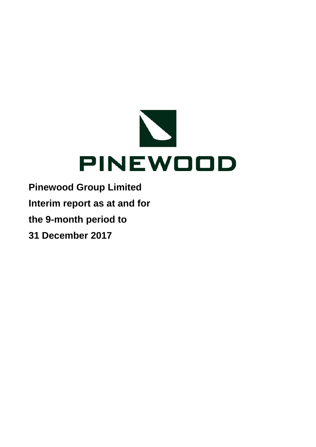

**Pinewood Group Limited Interim report as at and for the 9-month period to 31 December 2017**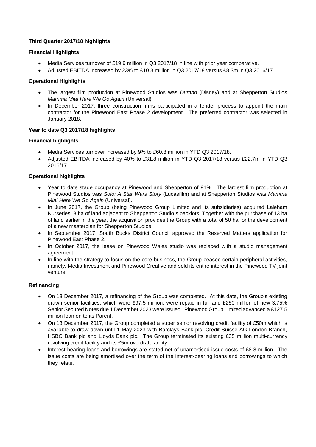# **Third Quarter 2017/18 highlights**

# **Financial Highlights**

- Media Services turnover of £19.9 million in Q3 2017/18 in line with prior year comparative.
- Adjusted EBITDA increased by 23% to £10.3 million in Q3 2017/18 versus £8.3m in Q3 2016/17.

# **Operational Highlights**

- The largest film production at Pinewood Studios was *Dumbo* (Disney) and at Shepperton Studios *Mamma Mia! Here We Go Again* (Universal).
- In December 2017, three construction firms participated in a tender process to appoint the main contractor for the Pinewood East Phase 2 development. The preferred contractor was selected in January 2018.

# **Year to date Q3 2017/18 highlights**

# **Financial highlights**

- Media Services turnover increased by 9% to £60.8 million in YTD Q3 2017/18.
- Adjusted EBITDA increased by 40% to £31.8 million in YTD Q3 2017/18 versus £22.7m in YTD Q3 2016/17.

# **Operational highlights**

- Year to date stage occupancy at Pinewood and Shepperton of 91%. The largest film production at Pinewood Studios was *Solo: A Star Wars Story* (Lucasfilm) and at Shepperton Studios was *Mamma Mia! Here We Go Again (Universal).*
- In June 2017, the Group (being Pinewood Group Limited and its subsidiaries) acquired Laleham Nurseries, 3 ha of land adjacent to Shepperton Studio's backlots. Together with the purchase of 13 ha of land earlier in the year, the acquisition provides the Group with a total of 50 ha for the development of a new masterplan for Shepperton Studios.
- In September 2017, South Bucks District Council approved the Reserved Matters application for Pinewood East Phase 2.
- In October 2017, the lease on Pinewood Wales studio was replaced with a studio management agreement.
- In line with the strategy to focus on the core business, the Group ceased certain peripheral activities, namely, Media Investment and Pinewood Creative and sold its entire interest in the Pinewood TV joint venture.

# **Refinancing**

- On 13 December 2017, a refinancing of the Group was completed. At this date, the Group's existing drawn senior facilities, which were £97.5 million, were repaid in full and £250 million of new 3.75% Senior Secured Notes due 1 December 2023 were issued. Pinewood Group Limited advanced a £127.5 million loan on to its Parent.
- On 13 December 2017, the Group completed a super senior revolving credit facility of £50m which is available to draw down until 1 May 2023 with Barclays Bank plc, Credit Suisse AG London Branch, HSBC Bank plc and Lloyds Bank plc. The Group terminated its existing £35 million multi-currency revolving credit facility and its £5m overdraft facility.
- Interest-bearing loans and borrowings are stated net of unamortised issue costs of £8.8 million. The issue costs are being amortised over the term of the interest-bearing loans and borrowings to which they relate.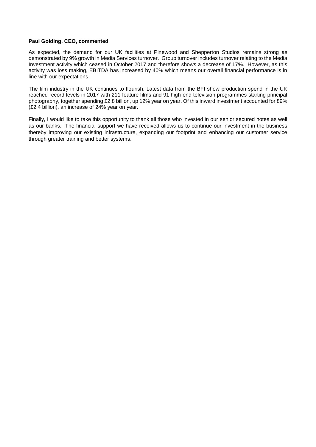# **Paul Golding, CEO, commented**

As expected, the demand for our UK facilities at Pinewood and Shepperton Studios remains strong as demonstrated by 9% growth in Media Services turnover. Group turnover includes turnover relating to the Media Investment activity which ceased in October 2017 and therefore shows a decrease of 17%. However, as this activity was loss making, EBITDA has increased by 40% which means our overall financial performance is in line with our expectations.

The film industry in the UK continues to flourish. Latest data from the BFI show production spend in the UK reached record levels in 2017 with 211 feature films and 91 high-end television programmes starting principal photography, together spending £2.8 billion, up 12% year on year. Of this inward investment accounted for 89% (£2.4 billion), an increase of 24% year on year.

Finally, I would like to take this opportunity to thank all those who invested in our senior secured notes as well as our banks. The financial support we have received allows us to continue our investment in the business thereby improving our existing infrastructure, expanding our footprint and enhancing our customer service through greater training and better systems.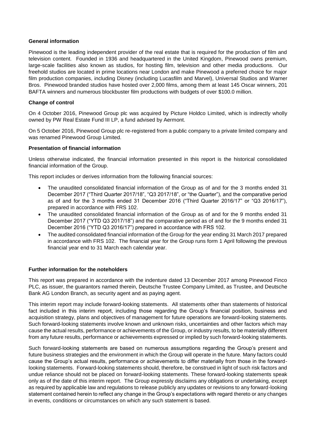# **General information**

Pinewood is the leading independent provider of the real estate that is required for the production of film and television content. Founded in 1936 and headquartered in the United Kingdom, Pinewood owns premium, large-scale facilities also known as studios, for hosting film, television and other media productions. Our freehold studios are located in prime locations near London and make Pinewood a preferred choice for major film production companies, including Disney (including Lucasfilm and Marvel), Universal Studios and Warner Bros. Pinewood branded studios have hosted over 2,000 films, among them at least 145 Oscar winners, 201 BAFTA winners and numerous blockbuster film productions with budgets of over \$100.0 million.

# **Change of control**

On 4 October 2016, Pinewood Group plc was acquired by Picture Holdco Limited, which is indirectly wholly owned by PW Real Estate Fund III LP, a fund advised by Aermont.

On 5 October 2016, Pinewood Group plc re-registered from a public company to a private limited company and was renamed Pinewood Group Limited.

# **Presentation of financial information**

Unless otherwise indicated, the financial information presented in this report is the historical consolidated financial information of the Group.

This report includes or derives information from the following financial sources:

- The unaudited consolidated financial information of the Group as of and for the 3 months ended 31 December 2017 ("Third Quarter 2017/18", "Q3 2017/18", or "the Quarter"), and the comparative period as of and for the 3 months ended 31 December 2016 ("Third Quarter 2016/17" or "Q3 2016/17"), prepared in accordance with FRS 102.
- The unaudited consolidated financial information of the Group as of and for the 9 months ended 31 December 2017 ("YTD Q3 2017/18") and the comparative period as of and for the 9 months ended 31 December 2016 ("YTD Q3 2016/17") prepared in accordance with FRS 102.
- The audited consolidated financial information of the Group for the year ending 31 March 2017 prepared in accordance with FRS 102. The financial year for the Group runs form 1 April following the previous financial year end to 31 March each calendar year.

# **Further information for the noteholders**

This report was prepared in accordance with the indenture dated 13 December 2017 among Pinewood Finco PLC, as issuer, the guarantors named therein, Deutsche Trustee Company Limited, as Trustee, and Deutsche Bank AG London Branch, as security agent and as paying agent.

This interim report may include forward-looking statements. All statements other than statements of historical fact included in this interim report, including those regarding the Group's financial position, business and acquisition strategy, plans and objectives of management for future operations are forward-looking statements. Such forward-looking statements involve known and unknown risks, uncertainties and other factors which may cause the actual results, performance or achievements of the Group, or industry results, to be materially different from any future results, performance or achievements expressed or implied by such forward-looking statements.

Such forward-looking statements are based on numerous assumptions regarding the Group's present and future business strategies and the environment in which the Group will operate in the future. Many factors could cause the Group's actual results, performance or achievements to differ materially from those in the forwardlooking statements. Forward-looking statements should, therefore, be construed in light of such risk factors and undue reliance should not be placed on forward-looking statements. These forward-looking statements speak only as of the date of this interim report. The Group expressly disclaims any obligations or undertaking, except as required by applicable law and regulations to release publicly any updates or revisions to any forward-looking statement contained herein to reflect any change in the Group's expectations with regard thereto or any changes in events, conditions or circumstances on which any such statement is based.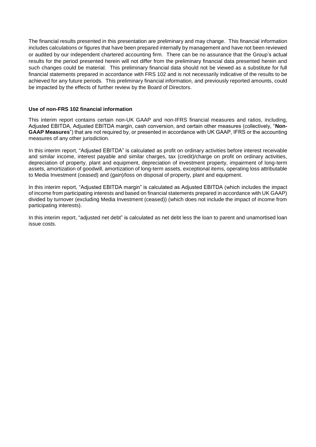The financial results presented in this presentation are preliminary and may change. This financial information includes calculations or figures that have been prepared internally by management and have not been reviewed or audited by our independent chartered accounting firm. There can be no assurance that the Group's actual results for the period presented herein will not differ from the preliminary financial data presented herein and such changes could be material. This preliminary financial data should not be viewed as a substitute for full financial statements prepared in accordance with FRS 102 and is not necessarily indicative of the results to be achieved for any future periods. This preliminary financial information, and previously reported amounts, could be impacted by the effects of further review by the Board of Directors.

# **Use of non-FRS 102 financial information**

This interim report contains certain non-UK GAAP and non-IFRS financial measures and ratios, including, Adjusted EBITDA, Adjusted EBITDA margin, cash conversion, and certain other measures (collectively, "**Non-GAAP Measures**") that are not required by, or presented in accordance with UK GAAP, IFRS or the accounting measures of any other jurisdiction.

In this interim report, "Adjusted EBITDA" is calculated as profit on ordinary activities before interest receivable and similar income, interest payable and similar charges, tax (credit)/charge on profit on ordinary activities, depreciation of property, plant and equipment, depreciation of investment property, impairment of long-term assets, amortization of goodwill, amortization of long-term assets, exceptional items, operating loss attributable to Media Investment (ceased) and (gain)/loss on disposal of property, plant and equipment.

In this interim report, "Adjusted EBITDA margin" is calculated as Adjusted EBITDA (which includes the impact of income from participating interests and based on financial statements prepared in accordance with UK GAAP) divided by turnover (excluding Media Investment (ceased)) (which does not include the impact of income from participating interests).

In this interim report, "adjusted net debt" is calculated as net debt less the loan to parent and unamortised loan issue costs.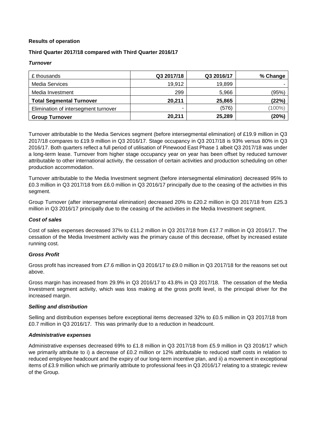# **Results of operation**

# **Third Quarter 2017/18 compared with Third Quarter 2016/17**

# *Turnover*

| £ thousands                          | Q3 2017/18 | Q3 2016/17 | % Change  |
|--------------------------------------|------------|------------|-----------|
| <b>Media Services</b>                | 19,912     | 19,899     |           |
| Media Investment                     | 299        | 5,966      | (95%)     |
| <b>Total Segmental Turnover</b>      | 20,211     | 25,865     | (22%)     |
| Elimination of intersegment turnover | -          | (576)      | $(100\%)$ |
| <b>Group Turnover</b>                | 20,211     | 25,289     | (20%)     |

Turnover attributable to the Media Services segment (before intersegmental elimination) of £19.9 million in Q3 2017/18 compares to £19.9 million in Q3 2016/17. Stage occupancy in Q3 2017/18 is 93% versus 80% in Q3 2016/17. Both quarters reflect a full period of utilisation of Pinewood East Phase 1 albeit Q3 2017/18 was under a long-term lease. Turnover from higher stage occupancy year on year has been offset by reduced turnover attributable to other international activity, the cessation of certain activities and production scheduling on other production accommodation.

Turnover attributable to the Media Investment segment (before intersegmental elimination) decreased 95% to £0.3 million in Q3 2017/18 from £6.0 million in Q3 2016/17 principally due to the ceasing of the activities in this segment.

Group Turnover (after intersegmental elimination) decreased 20% to £20.2 million in Q3 2017/18 from £25.3 million in Q3 2016/17 principally due to the ceasing of the activities in the Media Investment segment.

# *Cost of sales*

Cost of sales expenses decreased 37% to £11.2 million in Q3 2017/18 from £17.7 million in Q3 2016/17. The cessation of the Media Investment activity was the primary cause of this decrease, offset by increased estate running cost.

# *Gross Profit*

Gross profit has increased from £7.6 million in Q3 2016/17 to £9.0 million in Q3 2017/18 for the reasons set out above.

Gross margin has increased from 29.9% in Q3 2016/17 to 43.8% in Q3 2017/18. The cessation of the Media Investment segment activity, which was loss making at the gross profit level, is the principal driver for the increased margin.

# *Selling and distribution*

Selling and distribution expenses before exceptional items decreased 32% to £0.5 million in Q3 2017/18 from £0.7 million in Q3 2016/17. This was primarily due to a reduction in headcount.

# *Administrative expenses*

Administrative expenses decreased 69% to £1.8 million in Q3 2017/18 from £5.9 million in Q3 2016/17 which we primarily attribute to i) a decrease of £0.2 million or 12% attributable to reduced staff costs in relation to reduced employee headcount and the expiry of our long-term incentive plan, and ii) a movement in exceptional items of £3.9 million which we primarily attribute to professional fees in Q3 2016/17 relating to a strategic review of the Group.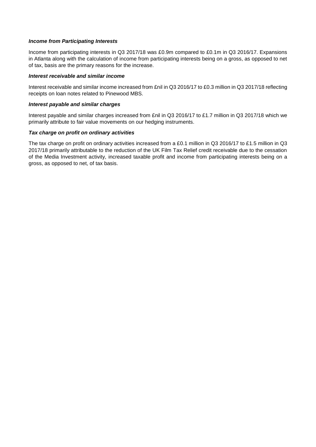# *Income from Participating Interests*

Income from participating interests in Q3 2017/18 was £0.9m compared to £0.1m in Q3 2016/17. Expansions in Atlanta along with the calculation of income from participating interests being on a gross, as opposed to net of tax, basis are the primary reasons for the increase.

# *Interest receivable and similar income*

Interest receivable and similar income increased from £nil in Q3 2016/17 to £0.3 million in Q3 2017/18 reflecting receipts on loan notes related to Pinewood MBS.

# *Interest payable and similar charges*

Interest payable and similar charges increased from £nil in Q3 2016/17 to £1.7 million in Q3 2017/18 which we primarily attribute to fair value movements on our hedging instruments.

# *Tax charge on profit on ordinary activities*

The tax charge on profit on ordinary activities increased from a £0.1 million in Q3 2016/17 to £1.5 million in Q3 2017/18 primarily attributable to the reduction of the UK Film Tax Relief credit receivable due to the cessation of the Media Investment activity, increased taxable profit and income from participating interests being on a gross, as opposed to net, of tax basis.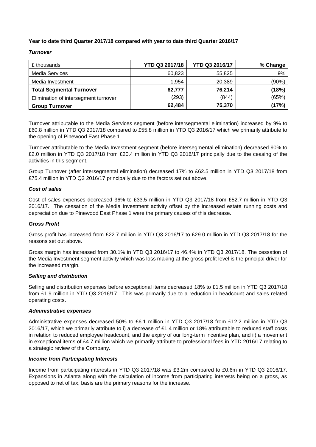# **Year to date third Quarter 2017/18 compared with year to date third Quarter 2016/17**

# *Turnover*

| £ thousands                          | YTD Q3 2017/18 | YTD Q3 2016/17 | % Change |
|--------------------------------------|----------------|----------------|----------|
| <b>Media Services</b>                | 60,823         | 55,825         | 9%       |
| Media Investment                     | 1.954          | 20,389         | (90%)    |
| <b>Total Segmental Turnover</b>      | 62.777         | 76,214         | (18%)    |
| Elimination of intersegment turnover | (293)          | (844)          | (65%)    |
| <b>Group Turnover</b>                | 62,484         | 75,370         | (17%)    |

Turnover attributable to the Media Services segment (before intersegmental elimination) increased by 9% to £60.8 million in YTD Q3 2017/18 compared to £55.8 million in YTD Q3 2016/17 which we primarily attribute to the opening of Pinewood East Phase 1.

Turnover attributable to the Media Investment segment (before intersegmental elimination) decreased 90% to £2.0 million in YTD Q3 2017/18 from £20.4 million in YTD Q3 2016/17 principally due to the ceasing of the activities in this segment.

Group Turnover (after intersegmental elimination) decreased 17% to £62.5 million in YTD Q3 2017/18 from £75.4 million in YTD Q3 2016/17 principally due to the factors set out above.

# *Cost of sales*

Cost of sales expenses decreased 36% to £33.5 million in YTD Q3 2017/18 from £52.7 million in YTD Q3 2016/17. The cessation of the Media Investment activity offset by the increased estate running costs and depreciation due to Pinewood East Phase 1 were the primary causes of this decrease.

# *Gross Profit*

Gross profit has increased from £22.7 million in YTD Q3 2016/17 to £29.0 million in YTD Q3 2017/18 for the reasons set out above.

Gross margin has increased from 30.1% in YTD Q3 2016/17 to 46.4% in YTD Q3 2017/18. The cessation of the Media Investment segment activity which was loss making at the gross profit level is the principal driver for the increased margin.

# *Selling and distribution*

Selling and distribution expenses before exceptional items decreased 18% to £1.5 million in YTD Q3 2017/18 from £1.9 million in YTD Q3 2016/17. This was primarily due to a reduction in headcount and sales related operating costs.

# *Administrative expenses*

Administrative expenses decreased 50% to £6.1 million in YTD Q3 2017/18 from £12.2 million in YTD Q3 2016/17, which we primarily attribute to i) a decrease of £1.4 million or 18% attributable to reduced staff costs in relation to reduced employee headcount, and the expiry of our long-term incentive plan, and ii) a movement in exceptional items of £4.7 million which we primarily attribute to professional fees in YTD 2016/17 relating to a strategic review of the Company.

# *Income from Participating Interests*

Income from participating interests in YTD Q3 2017/18 was £3.2m compared to £0.6m in YTD Q3 2016/17. Expansions in Atlanta along with the calculation of income from participating interests being on a gross, as opposed to net of tax, basis are the primary reasons for the increase.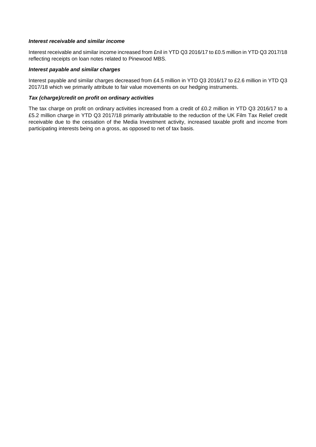# *Interest receivable and similar income*

Interest receivable and similar income increased from £nil in YTD Q3 2016/17 to £0.5 million in YTD Q3 2017/18 reflecting receipts on loan notes related to Pinewood MBS.

# *Interest payable and similar charges*

Interest payable and similar charges decreased from £4.5 million in YTD Q3 2016/17 to £2.6 million in YTD Q3 2017/18 which we primarily attribute to fair value movements on our hedging instruments.

# *Tax (charge)/credit on profit on ordinary activities*

The tax charge on profit on ordinary activities increased from a credit of £0.2 million in YTD Q3 2016/17 to a £5.2 million charge in YTD Q3 2017/18 primarily attributable to the reduction of the UK Film Tax Relief credit receivable due to the cessation of the Media Investment activity, increased taxable profit and income from participating interests being on a gross, as opposed to net of tax basis.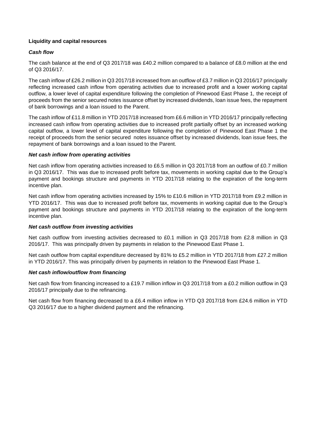# **Liquidity and capital resources**

# *Cash flow*

The cash balance at the end of Q3 2017/18 was £40.2 million compared to a balance of £8.0 million at the end of Q3 2016/17.

The cash inflow of £26.2 million in Q3 2017/18 increased from an outflow of £3.7 million in Q3 2016/17 principally reflecting increased cash inflow from operating activities due to increased profit and a lower working capital outflow, a lower level of capital expenditure following the completion of Pinewood East Phase 1, the receipt of proceeds from the senior secured notes issuance offset by increased dividends, loan issue fees, the repayment of bank borrowings and a loan issued to the Parent.

The cash inflow of £11.8 million in YTD 2017/18 increased from £6.6 million in YTD 2016/17 principally reflecting increased cash inflow from operating activities due to increased profit partially offset by an increased working capital outflow, a lower level of capital expenditure following the completion of Pinewood East Phase 1 the receipt of proceeds from the senior secured notes issuance offset by increased dividends, loan issue fees, the repayment of bank borrowings and a loan issued to the Parent.

# *Net cash inflow from operating activities*

Net cash inflow from operating activities increased to £6.5 million in Q3 2017/18 from an outflow of £0.7 million in Q3 2016/17. This was due to increased profit before tax, movements in working capital due to the Group's payment and bookings structure and payments in YTD 2017/18 relating to the expiration of the long-term incentive plan.

Net cash inflow from operating activities increased by 15% to £10.6 million in YTD 2017/18 from £9.2 million in YTD 2016/17. This was due to increased profit before tax, movements in working capital due to the Group's payment and bookings structure and payments in YTD 2017/18 relating to the expiration of the long-term incentive plan.

# *Net cash outflow from investing activities*

Net cash outflow from investing activities decreased to £0.1 million in Q3 2017/18 from £2.8 million in Q3 2016/17. This was principally driven by payments in relation to the Pinewood East Phase 1.

Net cash outflow from capital expenditure decreased by 81% to £5.2 million in YTD 2017/18 from £27.2 million in YTD 2016/17. This was principally driven by payments in relation to the Pinewood East Phase 1.

# *Net cash inflow/outflow from financing*

Net cash flow from financing increased to a £19.7 million inflow in Q3 2017/18 from a £0.2 million outflow in Q3 2016/17 principally due to the refinancing.

Net cash flow from financing decreased to a £6.4 million inflow in YTD Q3 2017/18 from £24.6 million in YTD Q3 2016/17 due to a higher dividend payment and the refinancing.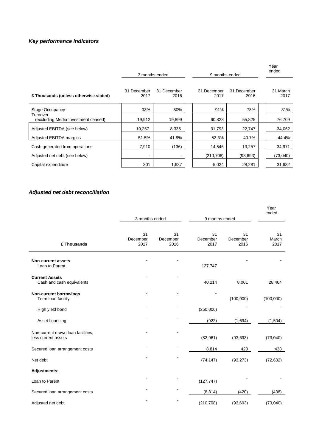# *Key performance indicators*

|                                                 | 3 months ended      |                     |                     | 9 months ended      |                  |  |
|-------------------------------------------------|---------------------|---------------------|---------------------|---------------------|------------------|--|
| £ Thousands (unless otherwise stated)           | 31 December<br>2017 | 31 December<br>2016 | 31 December<br>2017 | 31 December<br>2016 | 31 March<br>2017 |  |
| Stage Occupancy                                 | 93%                 | 80%                 | 91%                 | 78%                 | 81%              |  |
| Turnover<br>(excluding Media Investment ceased) | 19,912              | 19,899              | 60,823              | 55,825              | 76,709           |  |
| Adjusted EBITDA (see below)                     | 10,257              | 8,335               | 31,793              | 22,747              | 34,062           |  |
| Adjusted EBITDA margins                         | 51.5%               | 41.9%               | 52.3%               | 40.7%               | 44.4%            |  |
| Cash generated from operations                  | 7,910               | (136)               | 14,546              | 13,257              | 34,971           |  |
| Adjusted net debt (see below)                   | $\sim$              | ۰                   | (210, 708)          | (93, 693)           | (73,040)         |  |
| Capital expenditure                             | 301                 | 1,637               | 5,024               | 28,281              | 31,632           |  |

# *Adjusted net debt reconciliation*

|                                                           | 3 months ended         |                        | 9 months ended         |                        | Year<br>ended       |
|-----------------------------------------------------------|------------------------|------------------------|------------------------|------------------------|---------------------|
|                                                           |                        |                        |                        |                        |                     |
| £ Thousands                                               | 31<br>December<br>2017 | 31<br>December<br>2016 | 31<br>December<br>2017 | 31<br>December<br>2016 | 31<br>March<br>2017 |
| <b>Non-current assets</b><br>Loan to Parent               |                        |                        | 127,747                |                        |                     |
| <b>Current Assets</b><br>Cash and cash equivalents        |                        |                        | 40,214                 | 8,001                  | 28,464              |
| <b>Non-current borrowings</b><br>Term loan facility       |                        |                        |                        | (100,000)              | (100,000)           |
| High yield bond                                           |                        |                        | (250,000)              |                        |                     |
| Asset financing                                           |                        |                        | (922)                  | (1,694)                | (1,504)             |
| Non-current drawn loan facilities,<br>less current assets |                        |                        | (82, 961)              | (93, 693)              | (73,040)            |
| Secured loan arrangement costs                            |                        |                        | 8,814                  | 420                    | 438                 |
| Net debt                                                  |                        |                        | (74, 147)              | (93, 273)              | (72, 602)           |
| Adjustments:                                              |                        |                        |                        |                        |                     |
| Loan to Parent                                            |                        |                        | (127, 747)             |                        |                     |
| Secured loan arrangement costs                            |                        |                        | (8, 814)               | (420)                  | (438)               |
| Adjusted net debt                                         |                        |                        | (210, 708)             | (93, 693)              | (73,040)            |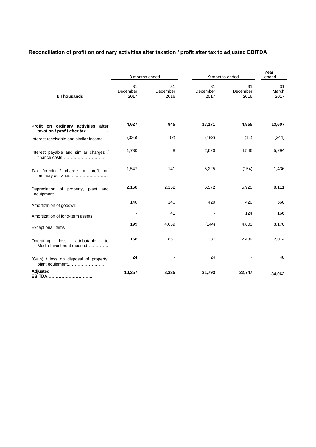# **Reconciliation of profit on ordinary activities after taxation / profit after tax to adjusted EBITDA**

|                                                                      |                        | 3 months ended         |                        | 9 months ended         | Year<br>ended       |
|----------------------------------------------------------------------|------------------------|------------------------|------------------------|------------------------|---------------------|
| £ Thousands                                                          | 31<br>December<br>2017 | 31<br>December<br>2016 | 31<br>December<br>2017 | 31<br>December<br>2016 | 31<br>March<br>2017 |
|                                                                      |                        |                        |                        |                        |                     |
| Profit on ordinary activities after<br>taxation / profit after tax   | 4,627                  | 945                    | 17,171                 | 4,855                  | 13,607              |
| Interest receivable and similar income                               | (336)                  | (2)                    | (482)                  | (11)                   | (344)               |
| Interest payable and similar charges /<br>finance costs              | 1,730                  | 8                      | 2,620                  | 4,546                  | 5,294               |
| Tax (credit) / charge on profit on<br>ordinary activities            | 1,547                  | 141                    | 5,225                  | (154)                  | 1,436               |
| Depreciation of property, plant and                                  | 2,168                  | 2,152                  | 6,572                  | 5,925                  | 8,111               |
| Amortization of goodwill                                             | 140                    | 140                    | 420                    | 420                    | 560                 |
| Amortization of long-term assets                                     |                        | 41                     |                        | 124                    | 166                 |
| <b>Exceptional items</b>                                             | 199                    | 4,059                  | (144)                  | 4,603                  | 3,170               |
| Operating<br>attributable<br>loss<br>to<br>Media Investment (ceased) | 158                    | 851                    | 387                    | 2,439                  | 2,014               |
| (Gain) / loss on disposal of property,<br>plant equipment            | 24                     |                        | 24                     |                        | 48                  |
| Adjusted<br>EBITDA                                                   | 10,257                 | 8,335                  | 31,793                 | 22,747                 | 34,062              |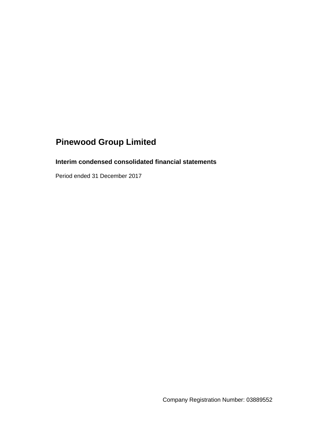# **Interim condensed consolidated financial statements**

Period ended 31 December 2017

Company Registration Number: 03889552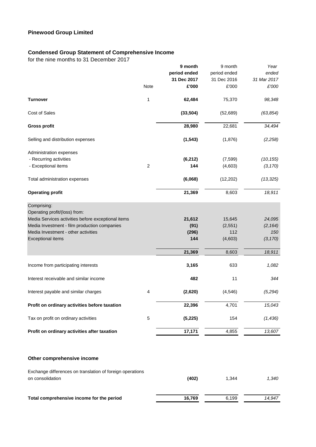# **Condensed Group Statement of Comprehensive Income**

for the nine months to 31 December 2017

|                                                           |                | 9 month<br>period ended<br>31 Dec 2017 | 9 month<br>period ended<br>31 Dec 2016 | Year<br>ended<br>31 Mar 2017 |
|-----------------------------------------------------------|----------------|----------------------------------------|----------------------------------------|------------------------------|
|                                                           | Note           | £'000                                  | £'000                                  | £'000                        |
| <b>Turnover</b>                                           | 1              | 62,484                                 | 75,370                                 | 98,348                       |
| Cost of Sales                                             |                | (33, 504)                              | (52, 689)                              | (63, 854)                    |
| <b>Gross profit</b>                                       |                | 28,980                                 | 22,681                                 | 34,494                       |
| Selling and distribution expenses                         |                | (1, 543)                               | (1,876)                                | (2, 258)                     |
| Administration expenses                                   |                |                                        |                                        |                              |
| - Recurring activities                                    |                | (6, 212)                               | (7, 599)                               | (10, 155)                    |
| - Exceptional items                                       | $\overline{2}$ | 144                                    | (4,603)                                | (3, 170)                     |
| Total administration expenses                             |                | (6,068)                                | (12, 202)                              | (13, 325)                    |
| <b>Operating profit</b>                                   |                | 21,369                                 | 8,603                                  | 18,911                       |
| Comprising:                                               |                |                                        |                                        |                              |
| Operating profit/(loss) from:                             |                |                                        |                                        |                              |
| Media Services activities before exceptional items        |                | 21,612                                 | 15,645                                 | 24,095                       |
| Media Investment - film production companies              |                | (91)                                   | (2, 551)                               | (2, 164)                     |
| Media Investment - other activities                       |                | (296)<br>144                           | 112                                    | 150                          |
| <b>Exceptional items</b>                                  |                |                                        | (4,603)                                | (3, 170)                     |
|                                                           |                | 21,369                                 | 8,603                                  | 18,911                       |
| Income from participating interests                       |                | 3,165                                  | 633                                    | 1,082                        |
| Interest receivable and similar income                    |                | 482                                    | 11                                     | 344                          |
| Interest payable and similar charges                      | 4              | (2,620)                                | (4, 546)                               | (5, 294)                     |
| Profit on ordinary activities before taxation             |                | 22,396                                 | 4,701                                  | 15,043                       |
| Tax on profit on ordinary activities                      | $\mathbf 5$    | (5, 225)                               | 154                                    | (1, 436)                     |
| Profit on ordinary activities after taxation              |                | 17,171                                 | 4,855                                  | 13,607                       |
| Other comprehensive income                                |                |                                        |                                        |                              |
| Exchange differences on translation of foreign operations |                |                                        |                                        |                              |
| on consolidation                                          |                | (402)                                  | 1,344                                  | 1,340                        |
| Total comprehensive income for the period                 |                | 16,769                                 | 6,199                                  | 14,947                       |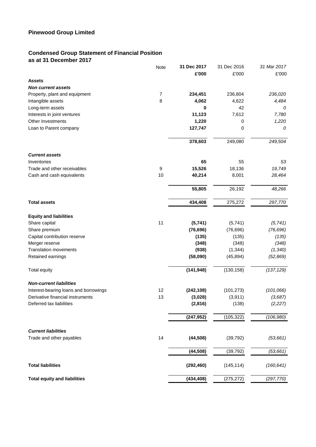# **Condensed Group Statement of Financial Position as at 31 December 2017**

|                                       | Note             | 31 Dec 2017 | 31 Dec 2016 | 31 Mar 2017 |
|---------------------------------------|------------------|-------------|-------------|-------------|
|                                       |                  | £'000       | £'000       | £'000       |
| <b>Assets</b>                         |                  |             |             |             |
| <b>Non current assets</b>             |                  |             |             |             |
| Property, plant and equipment         | $\overline{7}$   | 234,451     | 236,804     | 236,020     |
| Intangible assets                     | 8                | 4,062       | 4,622       | 4,484       |
| Long-term assets                      |                  | 0           | 42          | 0           |
| Interests in joint ventures           |                  | 11,123      | 7,612       | 7,780       |
| Other Investments                     |                  | 1,220       | 0           | 1,220       |
| Loan to Parent company                |                  | 127,747     | 0           | 0           |
|                                       |                  | 378,603     | 249,080     | 249,504     |
| <b>Current assets</b>                 |                  |             |             |             |
| Inventories                           |                  | 65          | 55          | 53          |
| Trade and other receivables           | $\boldsymbol{9}$ | 15,526      | 18,136      | 19,749      |
| Cash and cash equivalents             | 10               | 40,214      | 8,001       | 28,464      |
|                                       |                  | 55,805      | 26,192      | 48,266      |
| <b>Total assets</b>                   |                  | 434,408     | 275,272     | 297,770     |
|                                       |                  |             |             |             |
| <b>Equity and liabilities</b>         |                  |             |             |             |
| Share capital                         | 11               | (5,741)     | (5,741)     | (5, 741)    |
| Share premium                         |                  | (76, 696)   | (76, 696)   | (76, 696)   |
| Capital contribution reserve          |                  | (135)       | (135)       | (135)       |
| Merger reserve                        |                  | (348)       | (348)       | (348)       |
| <b>Translation movements</b>          |                  | (938)       | (1, 344)    | (1, 340)    |
| Retained earnings                     |                  | (58,090)    | (45, 894)   | (52, 869)   |
| Total equity                          |                  | (141, 948)  | (130, 158)  | (137, 129)  |
| <b>Non-current liabilities</b>        |                  |             |             |             |
| Interest-bearing loans and borrowings | 12               | (242, 108)  | (101, 273)  | (101,066)   |
| Derivative financial instruments      | 13               | (3,028)     | (3,911)     | (3,687)     |
| Deferred tax liabilities              |                  | (2,816)     | (138)       | (2, 227)    |
|                                       |                  | (247, 952)  | (105, 322)  | (106, 980)  |
| <b>Current liabilities</b>            |                  |             |             |             |
| Trade and other payables              | 14               | (44, 508)   | (39, 792)   | (53, 661)   |
|                                       |                  | (44, 508)   | (39, 792)   | (53, 661)   |
| <b>Total liabilities</b>              |                  | (292, 460)  | (145, 114)  | (160, 641)  |
| <b>Total equity and liabilities</b>   |                  | (434, 408)  | (275, 272)  | (297, 770)  |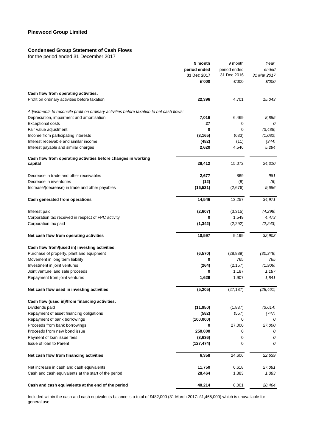# **Condensed Group Statement of Cash Flows**

for the period ended 31 December 2017

|                                                                                           | 9 month                     | 9 month                     | Year                 |
|-------------------------------------------------------------------------------------------|-----------------------------|-----------------------------|----------------------|
|                                                                                           | period ended<br>31 Dec 2017 | period ended<br>31 Dec 2016 | ended<br>31 Mar 2017 |
|                                                                                           | £'000                       | £'000                       | £'000                |
| Cash flow from operating activities:                                                      |                             |                             |                      |
| Profit on ordinary activities before taxation                                             | 22,396                      | 4,701                       | 15,043               |
| Adjustments to reconcile profit on ordinary activities before taxation to net cash flows: |                             |                             |                      |
| Depreciation, impairment and amortisation                                                 | 7,016                       | 6,469                       | 8,885                |
| <b>Exceptional costs</b>                                                                  | 27                          | 0                           | 0                    |
| Fair value adjustment                                                                     | 0                           | $\mathbf 0$                 | (3,486)              |
| Income from participating interests                                                       | (3, 165)                    | (633)                       | (1,082)              |
| Interest receivable and similar income                                                    | (482)                       | (11)                        | (344)                |
| Interest payable and similar charges                                                      | 2,620                       | 4,546                       | 5,294                |
| Cash flow from operating activities before changes in working                             |                             |                             |                      |
| capital                                                                                   | 28,412                      | 15,072                      | 24,310               |
| Decrease in trade and other receivables                                                   | 2,677                       | 869                         | 981                  |
| Decrease in inventories                                                                   | (12)                        | (8)                         | (6)                  |
| Increase/(decrease) in trade and other payables                                           | (16, 531)                   | (2,676)                     | 9,686                |
| Cash generated from operations                                                            | 14,546                      | 13,257                      | 34,971               |
| Interest paid                                                                             | (2,607)                     | (3,315)                     | (4,298)              |
| Corporation tax received in respect of FPC activity                                       | 0                           | 1,549                       | 4,473                |
| Corporation tax paid                                                                      | (1, 342)                    | (2,292)                     | (2, 243)             |
| Net cash flow from operating activities                                                   | 10,597                      | 9,199                       | 32,903               |
| Cash flow from/(used in) investing activities:                                            |                             |                             |                      |
| Purchase of property, plant and equipment                                                 | (6, 570)                    | (28, 889)                   | (30, 348)            |
| Movement in long term liability                                                           | 0                           | 765                         | 765                  |
| Investment in joint ventures                                                              | (264)                       | (2, 157)                    | (1,906)              |
| Joint venture land sale proceeds                                                          | 0                           | 1,187                       | 1,187                |
| Repayment from joint ventures                                                             | 1,629                       | 1,907                       | 1,841                |
| Net cash flow used in investing activities                                                | (5, 205)                    | (27, 187)                   | (28, 461)            |
| Cash flow (used in)/from financing activities:                                            |                             |                             |                      |
| Dividends paid                                                                            | (11, 950)                   | (1,837)                     | (3,614)              |
| Repayment of asset financing obligations                                                  | (582)                       | (557)                       | (747)                |
| Repayment of bank borrowings                                                              | (100,000)                   | 0                           | 0                    |
| Proceeds from bank borrowings                                                             | 0                           | 27,000                      | 27,000               |
| Proceeds from new bond issue                                                              | 250,000                     | 0                           | 0                    |
| Payment of loan issue fees                                                                | (3,636)                     | 0                           | 0                    |
| Issue of loan to Parent                                                                   | (127, 474)                  | 0                           | 0                    |
| Net cash flow from financing activities                                                   | 6,358                       | 24,606                      | 22,639               |
| Net increase in cash and cash equivalents                                                 | 11,750                      | 6,618                       | 27,081               |
| Cash and cash equivalents at the start of the period                                      | 28,464                      | 1,383                       | 1,383                |
| Cash and cash equivalents at the end of the period                                        | 40,214                      | 8,001                       | 28,464               |

Included within the cash and cash equivalents balance is a total of £482,000 (31 March 2017: £1,465,000) which is unavailable for general use.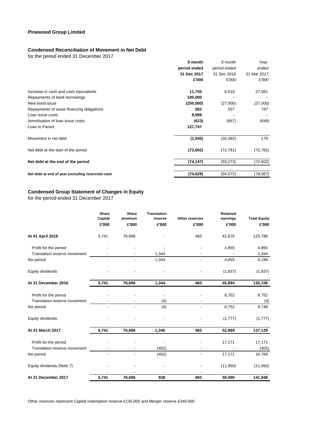# **Condensed Reconciliation of Movement in Net Debt**

for the period ended 31 December 2017

|                                                   | 9 month      | 9 month      | Year        |
|---------------------------------------------------|--------------|--------------|-------------|
|                                                   | period ended | period ended | ended       |
|                                                   | 31 Dec 2017  | 31 Dec 2016  | 31 Mar 2017 |
|                                                   | £'000        | £'000        | £'000       |
| Increase in cash and cash equivalents             | 11,750       | 6,618        | 27,081      |
| Repayments of bank borrowings                     | 100,000      |              |             |
| New bond issue                                    | (250,000)    | (27,000)     | (27,000)    |
| Repayments of asset financing obligations         | 582          | 557          | 747         |
| Loan issue costs                                  | 8,999        |              |             |
| Amortisation of loan issue costs                  | (623)        | (667)        | (649)       |
| Loan to Parent                                    | 127,747      |              |             |
| Movement in net debt                              | (1, 545)     | (20, 492)    | 179         |
| Net debt at the start of the period               | (72, 602)    | (72, 781)    | (72, 781)   |
| Net debt at the end of the period                 | (74, 147)    | (93, 273)    | (72, 602)   |
| Net debt at end of year excluding restricted cash | (74, 629)    | (94, 572)    | (74, 067)   |

#### **Condensed Group Statement of Changes in Equity**

for the period ended 31 December 2017

|                              | Share<br>Capital<br>£'000 | <b>Share</b><br>premium<br>£'000 | <b>Translation</b><br>reserve<br>£'000 | Other reserves<br>£'000 | <b>Retained</b><br>earnings<br>£'000 | <b>Total Equity</b><br>£'000 |
|------------------------------|---------------------------|----------------------------------|----------------------------------------|-------------------------|--------------------------------------|------------------------------|
| At 01 April 2016             | 5,741                     | 76,696                           |                                        | 483                     | 42,876                               | 125,796                      |
| Profit for the period        |                           |                                  |                                        |                         | 4,855                                | 4,855                        |
| Translation reserve movement |                           |                                  | 1,344                                  |                         |                                      | 1,344                        |
| the period                   |                           |                                  | 1,344                                  |                         | 4,855                                | 6,199                        |
| Equity dividends             |                           |                                  |                                        |                         | (1,837)                              | (1,837)                      |
| At 31 December 2016          | 5,741                     | 76,696                           | 1,344                                  | 483                     | 45,894                               | 130,158                      |
| Profit for the period        |                           |                                  |                                        |                         | 8,752                                | 8,752                        |
| Translation reserve movement |                           |                                  | (4)                                    |                         |                                      | (4)                          |
| the period                   | $\overline{\phantom{a}}$  | $\blacksquare$                   | (4)                                    | ۰                       | 8,752                                | 8,748                        |
| Equity dividends             |                           |                                  |                                        |                         | (1,777)                              | (1,777)                      |
| At 31 March 2017             | 5,741                     | 76,696                           | 1,340                                  | 483                     | 52,869                               | 137,129                      |
| Profit for the period        |                           |                                  |                                        |                         | 17,171                               | 17,171                       |
| Translation reserve movement |                           |                                  | (402)                                  |                         |                                      | (402)                        |
| the period                   |                           |                                  | (402)                                  |                         | 17,171                               | 16,769                       |
| Equity dividends (Note 7)    |                           |                                  |                                        |                         | (11, 950)                            | (11, 950)                    |
|                              |                           |                                  |                                        |                         |                                      |                              |
| At 31 December 2017          | 5,741                     | 76,696                           | 938                                    | 483                     | 58,090                               | 141,948                      |

Other reserves represent Capital redemption reserve £135,000 and Merger reserve £348,000.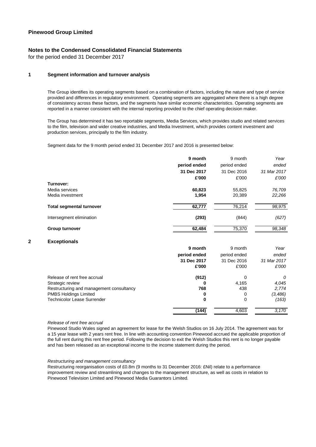# **Notes to the Condensed Consolidated Financial Statements**

for the period ended 31 December 2017

#### **1 Segment information and turnover analysis**

The Group identifies its operating segments based on a combination of factors, including the nature and type of service provided and differences in regulatory environment. Operating segments are aggregated where there is a high degree of consistency across these factors, and the segments have similar economic characteristics. Operating segments are reported in a manner consistent with the internal reporting provided to the chief operating decision maker.

The Group has determined it has two reportable segments, Media Services, which provides studio and related services to the film, television and wider creative industries, and Media Investment, which provides content investment and production services, principally to the film industry.

Segment data for the 9 month period ended 31 December 2017 and 2016 is presented below:

|                                 | 9 month      | 9 month      | Year        |
|---------------------------------|--------------|--------------|-------------|
|                                 | period ended | period ended | ended       |
|                                 | 31 Dec 2017  | 31 Dec 2016  | 31 Mar 2017 |
|                                 | £'000        | £'000        | £'000       |
| Turnover:                       |              |              |             |
| Media services                  | 60,823       | 55.825       | 76,709      |
| Media investment                | 1.954        | 20,389       | 22,266      |
| <b>Total segmental turnover</b> | 62,777       | 76,214       | 98,975      |
| Intersegment elimination        | (293)        | (844)        | (627)       |
| Group turnover                  | 62,484       | 75,370       | 98,348      |

#### **2 Exceptionals**

|                                          | 9 month      | 9 month      | Year        |
|------------------------------------------|--------------|--------------|-------------|
|                                          | period ended | period ended | ended       |
|                                          | 31 Dec 2017  | 31 Dec 2016  | 31 Mar 2017 |
|                                          | £'000        | £'000        | £'000       |
| Release of rent free accrual             | (912)        | 0            | 0           |
| Strategic review                         | o            | 4,165        | 4,045       |
| Restructuring and management consultancy | 768          | 438          | 2,774       |
| <b>PMBS Holdings Limited</b>             | 0            | 0            | (3,486)     |
| <b>Technicolor Lease Surrender</b>       | 0            | 0            | (163)       |
|                                          | (144)        | 4,603        | 3,170       |

#### *Release of rent free accrual*

Pinewood Studio Wales signed an agreement for lease for the Welsh Studios on 16 July 2014. The agreement was for a 15 year lease with 2 years rent free. In line with accounting convention Pinewood accrued the applicable proportion of the full rent during this rent free period. Following the decision to exit the Welsh Studios this rent is no longer payable and has been released as an exceptional income to the income statement during the period.

#### *Restructuring and management consultancy*

Restructuring reorganisation costs of £0.8m (9 months to 31 December 2016: £Nil) relate to a performance improvement review and streamlining and changes to the management structure, as well as costs in relation to Pinewood Television Limited and Pinewood Media Guarantors Limited.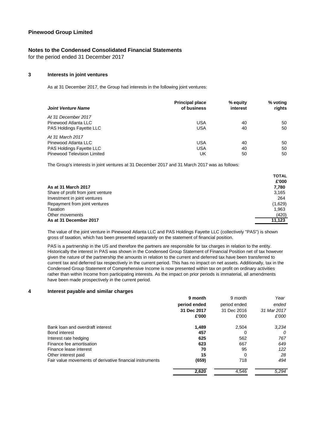# **Notes to the Condensed Consolidated Financial Statements**

for the period ended 31 December 2017

### **3 Interests in joint ventures**

As at 31 December 2017, the Group had interests in the following joint ventures:

| <b>Joint Venture Name</b>       | <b>Principal place</b><br>of business | % equity<br>interest | % voting<br>rights |
|---------------------------------|---------------------------------------|----------------------|--------------------|
| At 31 December 2017             |                                       |                      |                    |
| Pinewood Atlanta LLC            | USA                                   | 40                   | 50                 |
| <b>PAS Holdings Fayette LLC</b> | <b>USA</b>                            | 40                   | 50                 |
| At 31 March 2017                |                                       |                      |                    |
| Pinewood Atlanta LLC            | USA                                   | 40                   | 50                 |
| PAS Holdings Fayette LLC        | USA                                   | 40                   | 50                 |
| Pinewood Television Limited     | UK                                    | 50                   | 50                 |

The Group's interests in joint ventures at 31 December 2017 and 31 March 2017 was as follows:

|                                    | <b>TOTAL</b> |
|------------------------------------|--------------|
|                                    | £'000        |
| As at 31 March 2017                | 7.780        |
| Share of profit from joint venture | 3,165        |
| Investment in joint ventures       | 264          |
| Repayment from joint ventures      | (1,629)      |
| Taxation                           | 1,963        |
| Other movements                    | (420)        |
| As at 31 December 2017             | 11.123       |

The value of the joint venture in Pinewood Atlanta LLC and PAS Holdings Fayette LLC (collectively "PAS") is shown gross of taxation, which has been presented separately on the statement of financial position.

PAS is a partnership in the US and therefore the partners are responsible for tax charges in relation to the entity. Historically the interest in PAS was shown in the Condensed Group Statement of Financial Position net of tax however given the nature of the partnership the amounts in relation to the current and deferred tax have been transferred to current tax and deferred tax respectively in the current period. This has no impact on net assets. Additionally, tax in the Condensed Group Statement of Comprehensive Income is now presented within tax on profit on ordinary activities rather than within Income from participating interests. As the impact on prior periods is immaterial, all amendments have been made prospectively in the current period.

#### **4 Interest payable and similar charges**

|                                                          | 9 month      | 9 month      | Year        |
|----------------------------------------------------------|--------------|--------------|-------------|
|                                                          | period ended | period ended | ended       |
|                                                          | 31 Dec 2017  | 31 Dec 2016  | 31 Mar 2017 |
|                                                          | £'000        | £'000        | £'000       |
| Bank loan and overdraft interest                         | 1,489        | 2,504        | 3,234       |
| <b>Bond interest</b>                                     | 457          | 0            | 0           |
| Interest rate hedging                                    | 625          | 562          | 767         |
| Finance fee amortisation                                 | 623          | 667          | 649         |
| Finance lease interest                                   | 70           | 95           | 122         |
| Other interest paid                                      | 15           | 0            | 28          |
| Fair value movements of derivative financial instruments | (659)        | 718          | 494         |
|                                                          | 2,620        | 4,546        | 5,294       |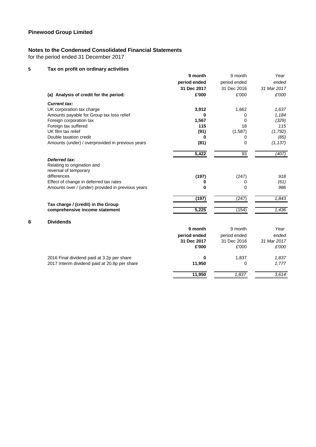# **Notes to the Condensed Consolidated Financial Statements**

for the period ended 31 December 2017

# **5 Tax on profit on ordinary activities**

|   |                                                   | 9 month      | 9 month      | Year        |
|---|---------------------------------------------------|--------------|--------------|-------------|
|   |                                                   | period ended | period ended | ended       |
|   |                                                   | 31 Dec 2017  | 31 Dec 2016  | 31 Mar 2017 |
|   | (a) Analysis of credit for the period:            | £'000        | £'000        | £'000       |
|   | <b>Current tax:</b>                               |              |              |             |
|   | UK corporation tax charge                         | 3,912        | 1,662        | 1,637       |
|   | Amounts payable for Group tax loss relief         | 0            | 0            | 1,184       |
|   | Foreign corporation tax                           | 1,567        | 0            | (329)       |
|   | Foreign tax suffered                              | 115          | 18           | 115         |
|   | UK film tax relief                                | (91)         | (1, 587)     | (1, 792)    |
|   | Double taxation credit                            | 0            | 0            | (85)        |
|   | Amounts (under) / overprovided in previous years  | (81)         | 0            | (1, 137)    |
|   |                                                   | 5,422        | 93           | (407)       |
|   | Deferred tax:                                     |              |              |             |
|   | Relating to origination and                       |              |              |             |
|   | reversal of temporary                             |              |              |             |
|   | differences                                       | (197)        | (247)        | 918         |
|   | Effect of change in deferred tax rates            | 0            | 0            | (61)        |
|   | Amounts over / (under) provided in previous years | $\bf{0}$     | 0            | 986         |
|   |                                                   | (197)        | (247)        | 1,843       |
|   | Tax charge / (credit) in the Group                |              |              |             |
|   | comprehensive income statement                    | 5,225        | (154)        | 1,436       |
| 6 | <b>Dividends</b>                                  |              |              |             |
|   |                                                   | 9 month      | 9 month      | Year        |
|   |                                                   | period ended | period ended | ended       |
|   |                                                   | 31 Dec 2017  | 31 Dec 2016  | 31 Mar 2017 |
|   |                                                   | £'000        | £'000        | £'000       |
|   | 2016 Final dividend paid at 3.2p per share        | 0            | 1,837        | 1,837       |
|   | 2017 Interim dividend paid at 20.8p per share     | 11,950       | 0            | 1,777       |
|   |                                                   | 11,950       | 1.837        | 3,614       |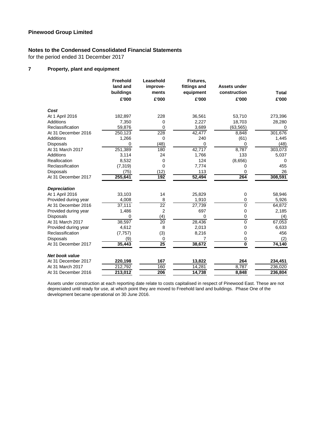# **Notes to the Condensed Consolidated Financial Statements**

for the period ended 31 December 2017

# **7 Property, plant and equipment**

|                       | Freehold<br>land and | Leasehold<br>improve- | Fixtures,<br>fittings and | <b>Assets under</b>     |              |
|-----------------------|----------------------|-----------------------|---------------------------|-------------------------|--------------|
|                       | buildings            | ments                 | equipment                 | construction            | <b>Total</b> |
|                       | £'000                | £'000                 | £'000                     | £'000                   | £'000        |
| Cost                  |                      |                       |                           |                         |              |
| At 1 April 2016       | 182,897              | 228                   | 36,561                    | 53,710                  | 273,396      |
| Additions             | 7,350                | 0                     | 2,227                     | 18,703                  | 28,280       |
| Reclassification      | 59,876               | 0                     | 3,689                     | (63, 565)               | 0            |
| At 31 December 2016   | 250,123              | 228                   | 42,477                    | 8,848                   | 301,676      |
| Additions             | 1,266                | $\mathbf 0$           | 240                       | (61)                    | 1,445        |
| <b>Disposals</b>      | 0                    | (48)                  | 0                         | 0                       | (48)         |
| At 31 March 2017      | 251,389              | 180                   | 42,717                    | 8,787                   | 303,073      |
| <b>Additions</b>      | 3,114                | 24                    | 1,766                     | 133                     | 5,037        |
| Reallocation          | 8,532                | 0                     | 124                       | (8,656)                 | 0            |
| Reclassification      | (7, 319)             | $\mathbf 0$           | 7,774                     | 0                       | 455          |
| <b>Disposals</b>      | (75)                 | (12)                  | 113                       | 0                       | 26           |
| At 31 December 2017   | 255,641              | $\overline{192}$      | 52,494                    | 264                     | 308,591      |
| <b>Depreciation</b>   |                      |                       |                           |                         |              |
| At 1 April 2016       | 33,103               | 14                    | 25,829                    | 0                       | 58,946       |
| Provided during year  | 4,008                | 8                     | 1,910                     | 0                       | 5,926        |
| At 31 December 2016   | 37,111               | 22                    | 27,739                    | $\overline{0}$          | 64,872       |
| Provided during year  | 1,486                | $\overline{2}$        | 697                       | 0                       | 2,185        |
| Disposals             | $\Omega$             | (4)                   | $\Omega$                  | 0                       | (4)          |
| At 31 March 2017      | 38,597               | 20                    | 28,436                    | 0                       | 67,053       |
| Provided during year  | 4,612                | 8                     | 2,013                     | 0                       | 6,633        |
| Reclassification      | (7, 757)             | (3)                   | 8,216                     | 0                       | 456          |
| <b>Disposals</b>      | (9)                  | 0                     |                           | 0                       | (2)          |
| At 31 December 2017   | 35,443               | 25                    | 38,672                    | $\overline{\mathbf{0}}$ | 74,140       |
| <b>Net book value</b> |                      |                       |                           |                         |              |
| At 31 December 2017   | 220,198              | 167                   | 13,822                    | 264                     | 234,451      |
| At 31 March 2017      | 212,792              | 160                   | 14,281                    | 8,787                   | 236,020      |
| At 31 December 2016   | 213,012              | 206                   | 14,738                    | 8.848                   | 236,804      |

Assets under construction at each reporting date relate to costs capitalised in respect of Pinewood East. These are not depreciated until ready for use, at which point they are moved to Freehold land and buildings. Phase One of the development became operational on 30 June 2016.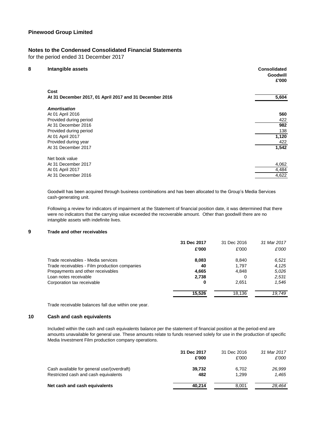# **Notes to the Condensed Consolidated Financial Statements**

for the period ended 31 December 2017

| 8 | Intangible assets                                       | <b>Consolidated</b><br>Goodwill<br>£'000 |
|---|---------------------------------------------------------|------------------------------------------|
|   | Cost                                                    |                                          |
|   | At 31 December 2017, 01 April 2017 and 31 December 2016 | 5,604                                    |
|   | Amortisation                                            |                                          |
|   | At 01 April 2016                                        | 560                                      |
|   | Provided during period                                  | 422                                      |
|   | At 31 December 2016                                     | 982                                      |
|   | Provided during period                                  | 138                                      |
|   | At 01 April 2017                                        | 1,120                                    |
|   | Provided during year                                    | 422                                      |
|   | At 31 December 2017                                     | 1,542                                    |
|   | Net book value                                          |                                          |
|   | At 31 December 2017                                     | 4,062                                    |
|   | At 01 April 2017                                        | 4,484                                    |
|   | At 31 December 2016                                     | 4,622                                    |
|   |                                                         |                                          |

Goodwill has been acquired through business combinations and has been allocated to the Group's Media Services cash-generating unit.

Following a review for indicators of impairment at the Statement of financial position date, it was determined that there were no indicators that the carrying value exceeded the recoverable amount. Other than goodwill there are no intangible assets with indefinite lives.

# **9 Trade and other receivables**

|                                               | 31 Dec 2017 | 31 Dec 2016 | 31 Mar 2017 |
|-----------------------------------------------|-------------|-------------|-------------|
|                                               | £'000       | £'000       | £'000       |
| Trade receivables - Media services            | 8,083       | 8.840       | 6,521       |
| Trade receivables - Film production companies | 40          | 1.797       | 4.125       |
| Prepayments and other receivables             | 4,665       | 4.848       | 5.026       |
| Loan notes receivable                         | 2,738       | 0           | 2,531       |
| Corporation tax receivable                    | 0           | 2,651       | 1.546       |
|                                               | 15.526      | 18.136      | 19.749      |

Trade receivable balances fall due within one year.

# **10 Cash and cash equivalents**

Included within the cash and cash equivalents balance per the statement of financial position at the period-end are amounts unavailable for general use. These amounts relate to funds reserved solely for use in the production of specific Media Investment Film production company operations.

|                                            | 31 Dec 2017 | 31 Dec 2016 | 31 Mar 2017 |
|--------------------------------------------|-------------|-------------|-------------|
|                                            | £'000       | £'000       | £'000       |
| Cash available for general use/(overdraft) | 39,732      | 6.702       | 26,999      |
| Restricted cash and cash equivalents       | 482         | 1.299       | 1.465       |
| Net cash and cash equivalents              | 40,214      | 8.001       | 28.464      |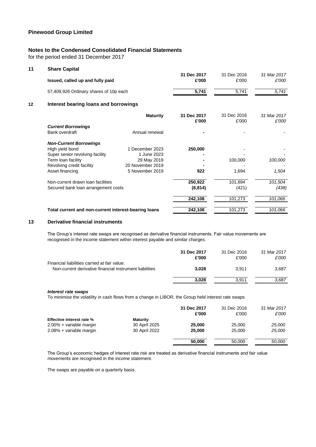# **Notes to the Condensed Consolidated Financial Statements**

for the period ended 31 December 2017

| <b>Share Capital</b>              |                                  |                                                                                                                                                                                |                      |                      |
|-----------------------------------|----------------------------------|--------------------------------------------------------------------------------------------------------------------------------------------------------------------------------|----------------------|----------------------|
|                                   |                                  |                                                                                                                                                                                |                      | 31 Mar 2017          |
|                                   |                                  |                                                                                                                                                                                |                      | £'000                |
|                                   |                                  | 5,741                                                                                                                                                                          | 5,741                | 5,741                |
|                                   |                                  |                                                                                                                                                                                |                      |                      |
|                                   | <b>Maturity</b>                  | 31 Dec 2017<br>£'000                                                                                                                                                           | 31 Dec 2016<br>£'000 | 31 Mar 2017<br>£'000 |
| <b>Current Borrowings</b>         |                                  |                                                                                                                                                                                |                      |                      |
| Bank overdraft                    | Annual renewal                   |                                                                                                                                                                                |                      |                      |
| <b>Non-Current Borrowings</b>     |                                  |                                                                                                                                                                                |                      |                      |
| High yield bond                   | 1 December 2023                  | 250,000                                                                                                                                                                        |                      |                      |
| Super senior revolving facility   | 1 June 2023                      |                                                                                                                                                                                |                      |                      |
| Term loan facility                | 29 May 2019                      |                                                                                                                                                                                | 100,000              | 100,000              |
| Revolving credit facility         | 20 November 2019                 |                                                                                                                                                                                |                      |                      |
| Asset financing                   | 5 November 2019                  | 922                                                                                                                                                                            | 1,694                | 1,504                |
| Non-current drawn loan facilities |                                  | 250,922                                                                                                                                                                        | 101,694              | 101,504              |
|                                   |                                  | (8, 814)                                                                                                                                                                       | (421)                | (438)                |
|                                   |                                  | 242,108                                                                                                                                                                        | 101,273              | 101,066              |
|                                   |                                  | 242,108                                                                                                                                                                        | 101,273              | 101,066              |
|                                   | Issued, called up and fully paid | 57,409,926 Ordinary shares of 10p each<br>Interest bearing loans and borrowings<br>Secured bank loan arrangement costs<br>Total current and non-current interest-bearing loans | 31 Dec 2017<br>£'000 | 31 Dec 2016<br>£'000 |

#### **13 Derivative financial instruments**

The Group's interest rate swaps are recognised as derivative financial instruments. Fair value movements are recognised in the income statement within interest payable and similar charges.

|                                                                                                         | 31 Dec 2017<br>£'000 | 31 Dec 2016<br>£'000 | 31 Mar 2017<br>£'000 |
|---------------------------------------------------------------------------------------------------------|----------------------|----------------------|----------------------|
| Financial liabilities carried at fair value:<br>Non-current derivative financial instrument liabilities | 3.028                | 3.911                | 3.687                |
|                                                                                                         | 3,028                | 3.911                | 3,687                |

#### *Interest rate swaps*

To minimise the volatility in cash flows from a change in LIBOR, the Group held interest rate swaps

|                                  |                 | 31 Dec 2017<br>£'000 | 31 Dec 2016<br>£'000 | 31 Mar 2017<br>£'000 |
|----------------------------------|-----------------|----------------------|----------------------|----------------------|
| <b>Effective interest rate %</b> | <b>Maturity</b> |                      |                      |                      |
| 2.00% + variable margin          | 30 April 2025   | 25,000               | 25,000               | 25,000               |
| 2.08% + variable margin          | 30 April 2022   | 25,000               | 25,000               | 25,000               |
|                                  |                 |                      |                      |                      |
|                                  |                 | 50,000               | 50,000               | 50,000               |

The Group's economic hedges of interest rate risk are treated as derivative financial instruments and fair value movements are recognised in the income statement.

The swaps are payable on a quarterly basis.